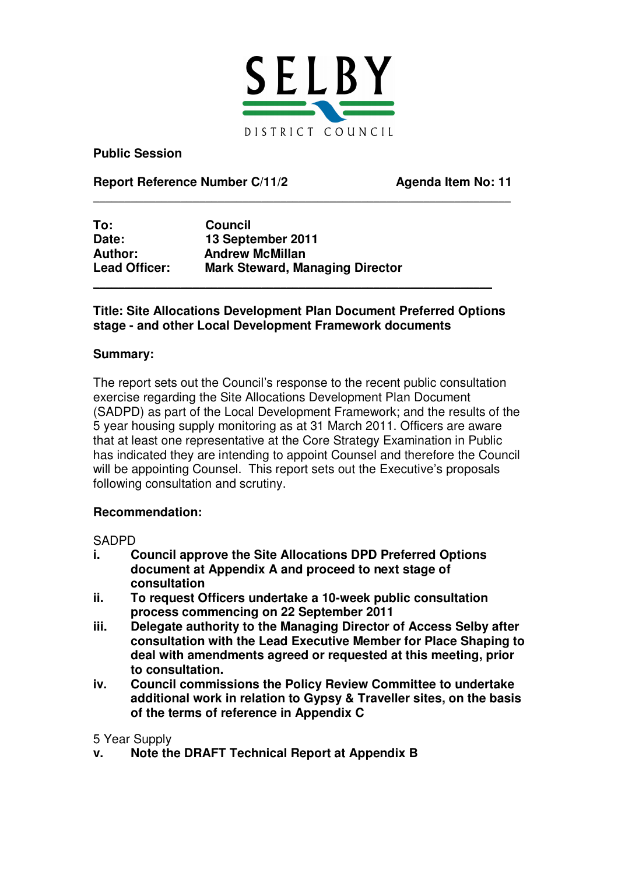

**Public Session**

**Report Reference Number C/11/2 Agenda Item No: 11**

| To:                  | <b>Council</b>                         |  |
|----------------------|----------------------------------------|--|
| Date:                | 13 September 2011                      |  |
| <b>Author:</b>       | <b>Andrew McMillan</b>                 |  |
| <b>Lead Officer:</b> | <b>Mark Steward, Managing Director</b> |  |
|                      |                                        |  |

## **Title: Site Allocations Development Plan Document Preferred Options stage - and other Local Development Framework documents**

\_\_\_\_\_\_\_\_\_\_\_\_\_\_\_\_\_\_\_\_\_\_\_\_\_\_\_\_\_\_\_\_\_\_\_\_\_\_\_\_\_\_\_\_\_\_\_\_\_\_\_\_\_\_\_\_\_\_\_\_\_\_\_\_\_\_\_

#### **Summary:**

The report sets out the Council's response to the recent public consultation exercise regarding the Site Allocations Development Plan Document (SADPD) as part of the Local Development Framework; and the results of the 5 year housing supply monitoring as at 31 March 2011. Officers are aware that at least one representative at the Core Strategy Examination in Public has indicated they are intending to appoint Counsel and therefore the Council will be appointing Counsel. This report sets out the Executive's proposals following consultation and scrutiny.

#### **Recommendation:**

SADPD

- **i. Council approve the Site Allocations DPD Preferred Options document at Appendix A and proceed to next stage of consultation**
- **ii. To request Officers undertake a 10-week public consultation process commencing on 22 September 2011**
- **iii. Delegate authority to the Managing Director of Access Selby after consultation with the Lead Executive Member for Place Shaping to deal with amendments agreed or requested at this meeting, prior to consultation.**
- **iv. Council commissions the Policy Review Committee to undertake additional work in relation to Gypsy & Traveller sites, on the basis of the terms of reference in Appendix C**

#### 5 Year Supply

**v. Note the DRAFT Technical Report at Appendix B**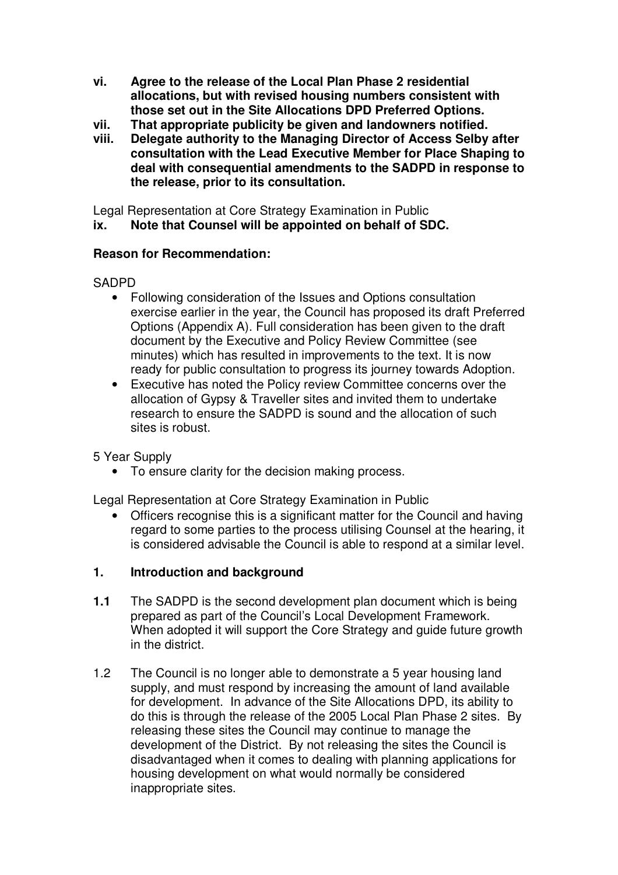- **vi. Agree to the release of the Local Plan Phase 2 residential allocations, but with revised housing numbers consistent with those set out in the Site Allocations DPD Preferred Options.**
- **vii. That appropriate publicity be given and landowners notified.**
- **viii. Delegate authority to the Managing Director of Access Selby after consultation with the Lead Executive Member for Place Shaping to deal with consequential amendments to the SADPD in response to the release, prior to its consultation.**

Legal Representation at Core Strategy Examination in Public

**ix. Note that Counsel will be appointed on behalf of SDC.**

## **Reason for Recommendation:**

## **SADPD**

- Following consideration of the Issues and Options consultation exercise earlier in the year, the Council has proposed its draft Preferred Options (Appendix A). Full consideration has been given to the draft document by the Executive and Policy Review Committee (see minutes) which has resulted in improvements to the text. It is now ready for public consultation to progress its journey towards Adoption.
- Executive has noted the Policy review Committee concerns over the allocation of Gypsy & Traveller sites and invited them to undertake research to ensure the SADPD is sound and the allocation of such sites is robust.

5 Year Supply

• To ensure clarity for the decision making process.

Legal Representation at Core Strategy Examination in Public

• Officers recognise this is a significant matter for the Council and having regard to some parties to the process utilising Counsel at the hearing, it is considered advisable the Council is able to respond at a similar level.

# **1. Introduction and background**

- **1.1** The SADPD is the second development plan document which is being prepared as part of the Council's Local Development Framework. When adopted it will support the Core Strategy and guide future growth in the district.
- 1.2 The Council is no longer able to demonstrate a 5 year housing land supply, and must respond by increasing the amount of land available for development. In advance of the Site Allocations DPD, its ability to do this is through the release of the 2005 Local Plan Phase 2 sites. By releasing these sites the Council may continue to manage the development of the District. By not releasing the sites the Council is disadvantaged when it comes to dealing with planning applications for housing development on what would normally be considered inappropriate sites.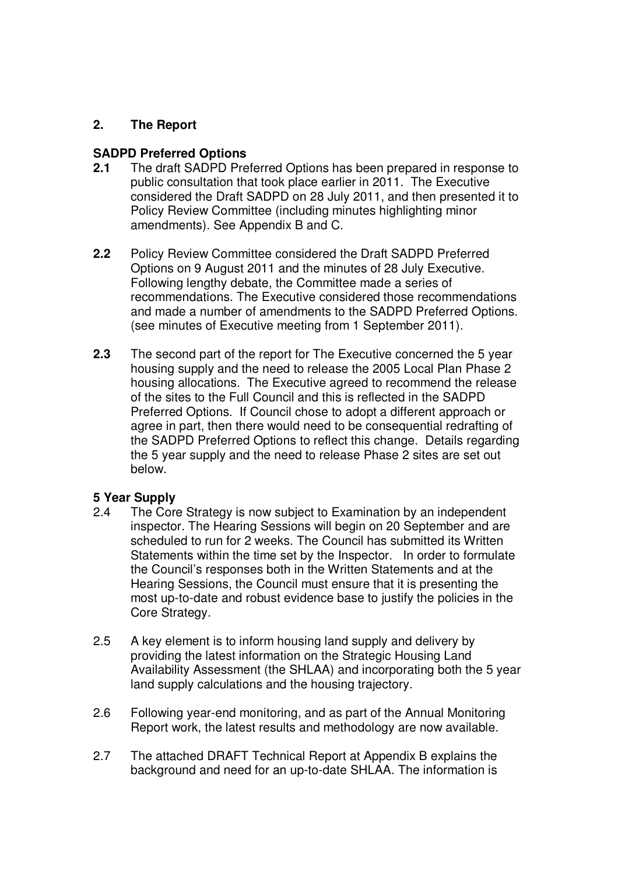# **2. The Report**

#### **SADPD Preferred Options**

- **2.1** The draft SADPD Preferred Options has been prepared in response to public consultation that took place earlier in 2011. The Executive considered the Draft SADPD on 28 July 2011, and then presented it to Policy Review Committee (including minutes highlighting minor amendments). See Appendix B and C.
- **2.2** Policy Review Committee considered the Draft SADPD Preferred Options on 9 August 2011 and the minutes of 28 July Executive. Following lengthy debate, the Committee made a series of recommendations. The Executive considered those recommendations and made a number of amendments to the SADPD Preferred Options. (see minutes of Executive meeting from 1 September 2011).
- **2.3** The second part of the report for The Executive concerned the 5 year housing supply and the need to release the 2005 Local Plan Phase 2 housing allocations. The Executive agreed to recommend the release of the sites to the Full Council and this is reflected in the SADPD Preferred Options. If Council chose to adopt a different approach or agree in part, then there would need to be consequential redrafting of the SADPD Preferred Options to reflect this change. Details regarding the 5 year supply and the need to release Phase 2 sites are set out below.

#### **5 Year Supply**

- 2.4 The Core Strategy is now subject to Examination by an independent inspector. The Hearing Sessions will begin on 20 September and are scheduled to run for 2 weeks. The Council has submitted its Written Statements within the time set by the Inspector. In order to formulate the Council's responses both in the Written Statements and at the Hearing Sessions, the Council must ensure that it is presenting the most up-to-date and robust evidence base to justify the policies in the Core Strategy.
- 2.5 A key element is to inform housing land supply and delivery by providing the latest information on the Strategic Housing Land Availability Assessment (the SHLAA) and incorporating both the 5 year land supply calculations and the housing trajectory.
- 2.6 Following year-end monitoring, and as part of the Annual Monitoring Report work, the latest results and methodology are now available.
- 2.7 The attached DRAFT Technical Report at Appendix B explains the background and need for an up-to-date SHLAA. The information is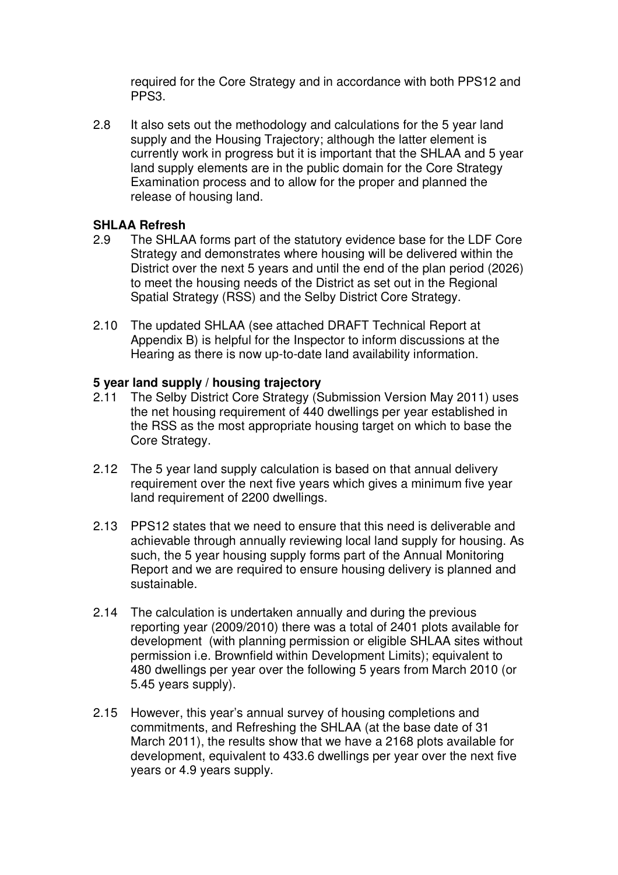required for the Core Strategy and in accordance with both PPS12 and PPS3.

2.8 It also sets out the methodology and calculations for the 5 year land supply and the Housing Trajectory; although the latter element is currently work in progress but it is important that the SHLAA and 5 year land supply elements are in the public domain for the Core Strategy Examination process and to allow for the proper and planned the release of housing land.

#### **SHLAA Refresh**

- 2.9 The SHLAA forms part of the statutory evidence base for the LDF Core Strategy and demonstrates where housing will be delivered within the District over the next 5 years and until the end of the plan period (2026) to meet the housing needs of the District as set out in the Regional Spatial Strategy (RSS) and the Selby District Core Strategy.
- 2.10 The updated SHLAA (see attached DRAFT Technical Report at Appendix B) is helpful for the Inspector to inform discussions at the Hearing as there is now up-to-date land availability information.

## **5 year land supply / housing trajectory**

- 2.11 The Selby District Core Strategy (Submission Version May 2011) uses the net housing requirement of 440 dwellings per year established in the RSS as the most appropriate housing target on which to base the Core Strategy.
- 2.12 The 5 year land supply calculation is based on that annual delivery requirement over the next five years which gives a minimum five year land requirement of 2200 dwellings.
- 2.13 PPS12 states that we need to ensure that this need is deliverable and achievable through annually reviewing local land supply for housing. As such, the 5 year housing supply forms part of the Annual Monitoring Report and we are required to ensure housing delivery is planned and sustainable.
- 2.14 The calculation is undertaken annually and during the previous reporting year (2009/2010) there was a total of 2401 plots available for development (with planning permission or eligible SHLAA sites without permission i.e. Brownfield within Development Limits); equivalent to 480 dwellings per year over the following 5 years from March 2010 (or 5.45 years supply).
- 2.15 However, this year's annual survey of housing completions and commitments, and Refreshing the SHLAA (at the base date of 31 March 2011), the results show that we have a 2168 plots available for development, equivalent to 433.6 dwellings per year over the next five years or 4.9 years supply.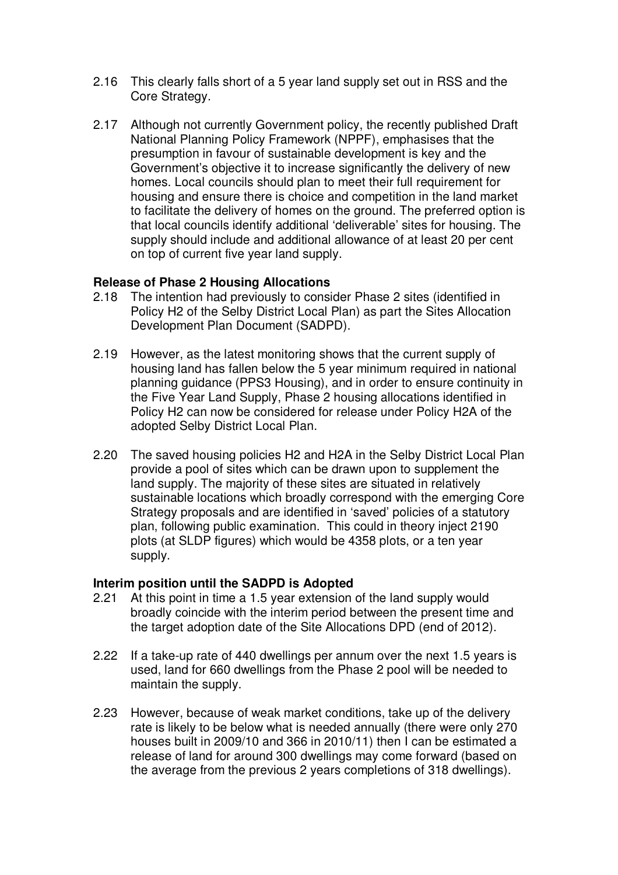- 2.16 This clearly falls short of a 5 year land supply set out in RSS and the Core Strategy.
- 2.17 Although not currently Government policy, the recently published Draft National Planning Policy Framework (NPPF), emphasises that the presumption in favour of sustainable development is key and the Government's objective it to increase significantly the delivery of new homes. Local councils should plan to meet their full requirement for housing and ensure there is choice and competition in the land market to facilitate the delivery of homes on the ground. The preferred option is that local councils identify additional 'deliverable' sites for housing. The supply should include and additional allowance of at least 20 per cent on top of current five year land supply.

## **Release of Phase 2 Housing Allocations**

- 2.18 The intention had previously to consider Phase 2 sites (identified in Policy H2 of the Selby District Local Plan) as part the Sites Allocation Development Plan Document (SADPD).
- 2.19 However, as the latest monitoring shows that the current supply of housing land has fallen below the 5 year minimum required in national planning guidance (PPS3 Housing), and in order to ensure continuity in the Five Year Land Supply, Phase 2 housing allocations identified in Policy H2 can now be considered for release under Policy H2A of the adopted Selby District Local Plan.
- 2.20 The saved housing policies H2 and H2A in the Selby District Local Plan provide a pool of sites which can be drawn upon to supplement the land supply. The majority of these sites are situated in relatively sustainable locations which broadly correspond with the emerging Core Strategy proposals and are identified in 'saved' policies of a statutory plan, following public examination. This could in theory inject 2190 plots (at SLDP figures) which would be 4358 plots, or a ten year supply.

#### **Interim position until the SADPD is Adopted**

- 2.21 At this point in time a 1.5 year extension of the land supply would broadly coincide with the interim period between the present time and the target adoption date of the Site Allocations DPD (end of 2012).
- 2.22 If a take-up rate of 440 dwellings per annum over the next 1.5 years is used, land for 660 dwellings from the Phase 2 pool will be needed to maintain the supply.
- 2.23 However, because of weak market conditions, take up of the delivery rate is likely to be below what is needed annually (there were only 270 houses built in 2009/10 and 366 in 2010/11) then I can be estimated a release of land for around 300 dwellings may come forward (based on the average from the previous 2 years completions of 318 dwellings).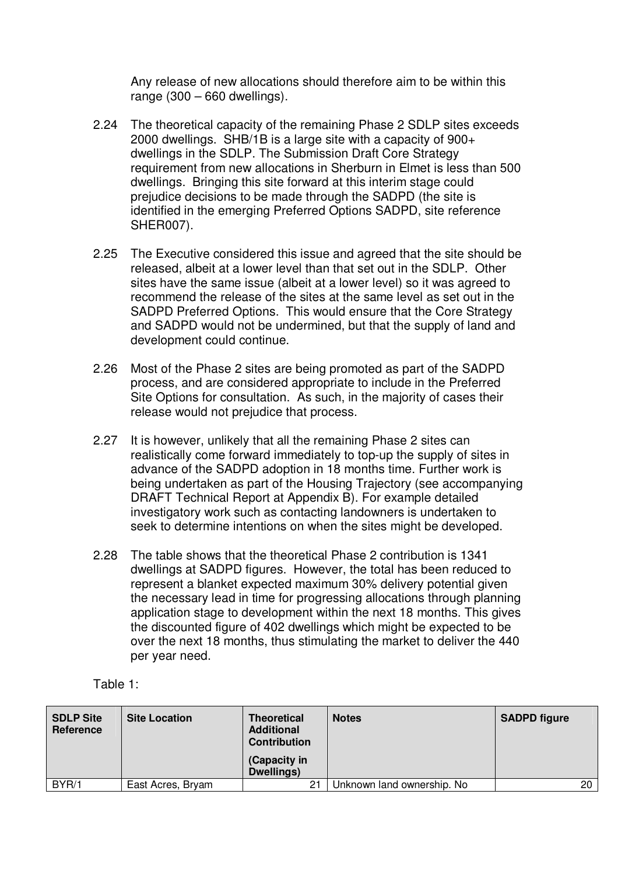Any release of new allocations should therefore aim to be within this range (300 – 660 dwellings).

- 2.24 The theoretical capacity of the remaining Phase 2 SDLP sites exceeds 2000 dwellings. SHB/1B is a large site with a capacity of 900+ dwellings in the SDLP. The Submission Draft Core Strategy requirement from new allocations in Sherburn in Elmet is less than 500 dwellings. Bringing this site forward at this interim stage could prejudice decisions to be made through the SADPD (the site is identified in the emerging Preferred Options SADPD, site reference SHER007).
- 2.25 The Executive considered this issue and agreed that the site should be released, albeit at a lower level than that set out in the SDLP. Other sites have the same issue (albeit at a lower level) so it was agreed to recommend the release of the sites at the same level as set out in the SADPD Preferred Options. This would ensure that the Core Strategy and SADPD would not be undermined, but that the supply of land and development could continue.
- 2.26 Most of the Phase 2 sites are being promoted as part of the SADPD process, and are considered appropriate to include in the Preferred Site Options for consultation. As such, in the majority of cases their release would not prejudice that process.
- 2.27 It is however, unlikely that all the remaining Phase 2 sites can realistically come forward immediately to top-up the supply of sites in advance of the SADPD adoption in 18 months time. Further work is being undertaken as part of the Housing Trajectory (see accompanying DRAFT Technical Report at Appendix B). For example detailed investigatory work such as contacting landowners is undertaken to seek to determine intentions on when the sites might be developed.
- 2.28 The table shows that the theoretical Phase 2 contribution is 1341 dwellings at SADPD figures. However, the total has been reduced to represent a blanket expected maximum 30% delivery potential given the necessary lead in time for progressing allocations through planning application stage to development within the next 18 months. This gives the discounted figure of 402 dwellings which might be expected to be over the next 18 months, thus stimulating the market to deliver the 440 per year need.

Table 1:

| <b>SDLP Site</b><br>Reference | <b>Site Location</b> | <b>Theoretical</b><br><b>Additional</b><br><b>Contribution</b><br>(Capacity in<br>Dwellings) | <b>Notes</b>               | <b>SADPD figure</b> |
|-------------------------------|----------------------|----------------------------------------------------------------------------------------------|----------------------------|---------------------|
| BYR/1                         | East Acres, Bryam    | 21                                                                                           | Unknown land ownership. No | 20                  |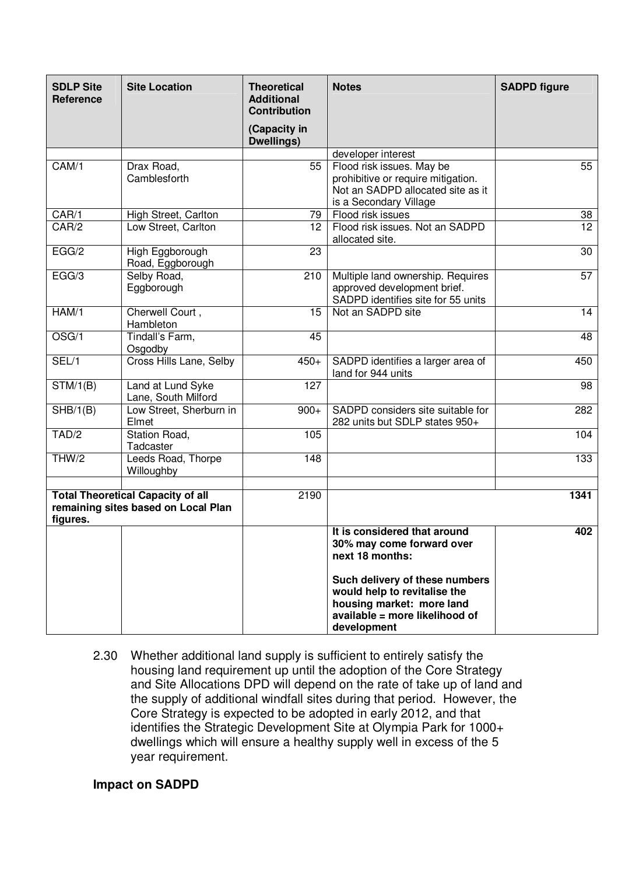| <b>SDLP Site</b><br>Reference | <b>Site Location</b>                                                            | <b>Theoretical</b><br><b>Additional</b><br><b>Contribution</b> | <b>Notes</b>                                                                                                                                 | <b>SADPD figure</b> |
|-------------------------------|---------------------------------------------------------------------------------|----------------------------------------------------------------|----------------------------------------------------------------------------------------------------------------------------------------------|---------------------|
|                               |                                                                                 | (Capacity in<br>Dwellings)                                     |                                                                                                                                              |                     |
|                               |                                                                                 |                                                                | developer interest                                                                                                                           |                     |
| CAM/1                         | Drax Road,<br>Camblesforth                                                      | 55                                                             | Flood risk issues. May be<br>prohibitive or require mitigation.<br>Not an SADPD allocated site as it<br>is a Secondary Village               | 55                  |
| CAR/1                         | High Street, Carlton                                                            | 79                                                             | Flood risk issues                                                                                                                            | 38                  |
| CAR/2                         | Low Street, Carlton                                                             | 12                                                             | Flood risk issues. Not an SADPD<br>allocated site.                                                                                           | $\overline{12}$     |
| EGG/2                         | High Eggborough<br>Road, Eggborough                                             | 23                                                             |                                                                                                                                              | 30                  |
| EGG/3                         | Selby Road,<br>Eggborough                                                       | 210                                                            | Multiple land ownership. Requires<br>approved development brief.<br>SADPD identifies site for 55 units                                       | 57                  |
| HAM/1                         | Cherwell Court,<br>Hambleton                                                    | 15                                                             | Not an SADPD site                                                                                                                            | 14                  |
| OSG/1                         | Tindall's Farm,<br>Osgodby                                                      | 45                                                             |                                                                                                                                              | 48                  |
| SEL/1                         | Cross Hills Lane, Selby                                                         | $450+$                                                         | SADPD identifies a larger area of<br>land for 944 units                                                                                      | 450                 |
| STM/1(B)                      | Land at Lund Syke<br>Lane, South Milford                                        | 127                                                            |                                                                                                                                              | 98                  |
| $\overline{SHB/1(B)}$         | Low Street, Sherburn in<br>Elmet                                                | $900+$                                                         | SADPD considers site suitable for<br>282 units but SDLP states 950+                                                                          | 282                 |
| TAD/2                         | Station Road,<br>Tadcaster                                                      | 105                                                            |                                                                                                                                              | 104                 |
| THW/2                         | Leeds Road, Thorpe<br>Willoughby                                                | 148                                                            |                                                                                                                                              | 133                 |
| figures.                      | <b>Total Theoretical Capacity of all</b><br>remaining sites based on Local Plan | 2190                                                           |                                                                                                                                              | 1341                |
|                               |                                                                                 |                                                                | It is considered that around<br>30% may come forward over<br>next 18 months:                                                                 | 402                 |
|                               |                                                                                 |                                                                | Such delivery of these numbers<br>would help to revitalise the<br>housing market: more land<br>available = more likelihood of<br>development |                     |

2.30 Whether additional land supply is sufficient to entirely satisfy the housing land requirement up until the adoption of the Core Strategy and Site Allocations DPD will depend on the rate of take up of land and the supply of additional windfall sites during that period. However, the Core Strategy is expected to be adopted in early 2012, and that identifies the Strategic Development Site at Olympia Park for 1000+ dwellings which will ensure a healthy supply well in excess of the 5 year requirement.

#### **Impact on SADPD**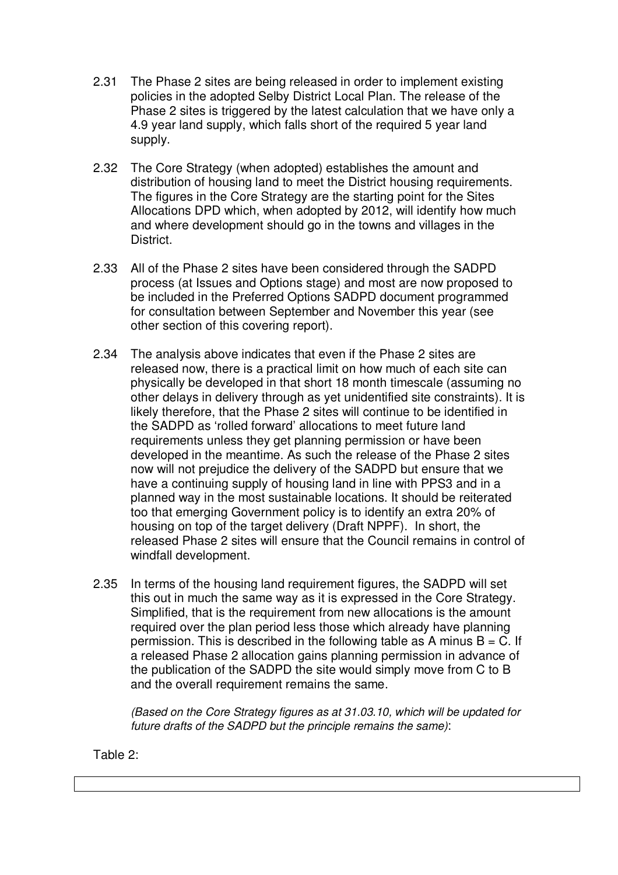- 2.31 The Phase 2 sites are being released in order to implement existing policies in the adopted Selby District Local Plan. The release of the Phase 2 sites is triggered by the latest calculation that we have only a 4.9 year land supply, which falls short of the required 5 year land supply.
- 2.32 The Core Strategy (when adopted) establishes the amount and distribution of housing land to meet the District housing requirements. The figures in the Core Strategy are the starting point for the Sites Allocations DPD which, when adopted by 2012, will identify how much and where development should go in the towns and villages in the District.
- 2.33 All of the Phase 2 sites have been considered through the SADPD process (at Issues and Options stage) and most are now proposed to be included in the Preferred Options SADPD document programmed for consultation between September and November this year (see other section of this covering report).
- 2.34 The analysis above indicates that even if the Phase 2 sites are released now, there is a practical limit on how much of each site can physically be developed in that short 18 month timescale (assuming no other delays in delivery through as yet unidentified site constraints). It is likely therefore, that the Phase 2 sites will continue to be identified in the SADPD as 'rolled forward' allocations to meet future land requirements unless they get planning permission or have been developed in the meantime. As such the release of the Phase 2 sites now will not prejudice the delivery of the SADPD but ensure that we have a continuing supply of housing land in line with PPS3 and in a planned way in the most sustainable locations. It should be reiterated too that emerging Government policy is to identify an extra 20% of housing on top of the target delivery (Draft NPPF). In short, the released Phase 2 sites will ensure that the Council remains in control of windfall development.
- 2.35 In terms of the housing land requirement figures, the SADPD will set this out in much the same way as it is expressed in the Core Strategy. Simplified, that is the requirement from new allocations is the amount required over the plan period less those which already have planning permission. This is described in the following table as A minus  $B = C$ . If a released Phase 2 allocation gains planning permission in advance of the publication of the SADPD the site would simply move from C to B and the overall requirement remains the same.

*(Based on the Core Strategy figures as at 31.03.10, which will be updated for future drafts of the SADPD but the principle remains the same)*:

Table 2: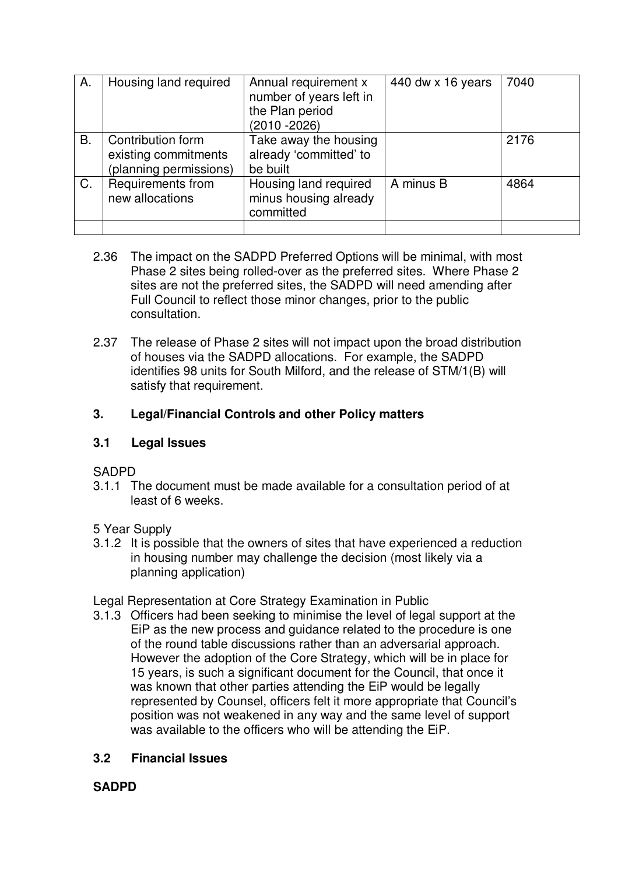| А. | Housing land required                                               | Annual requirement x<br>number of years left in<br>the Plan period<br>$(2010 - 2026)$ | 440 dw $\times$ 16 years | 7040 |
|----|---------------------------------------------------------------------|---------------------------------------------------------------------------------------|--------------------------|------|
| B. | Contribution form<br>existing commitments<br>(planning permissions) | Take away the housing<br>already 'committed' to<br>be built                           |                          | 2176 |
| C. | Requirements from<br>new allocations                                | Housing land required<br>minus housing already<br>committed                           | A minus B                | 4864 |
|    |                                                                     |                                                                                       |                          |      |

- 2.36 The impact on the SADPD Preferred Options will be minimal, with most Phase 2 sites being rolled-over as the preferred sites. Where Phase 2 sites are not the preferred sites, the SADPD will need amending after Full Council to reflect those minor changes, prior to the public consultation.
- 2.37 The release of Phase 2 sites will not impact upon the broad distribution of houses via the SADPD allocations. For example, the SADPD identifies 98 units for South Milford, and the release of STM/1(B) will satisfy that requirement.

# **3. Legal/Financial Controls and other Policy matters**

## **3.1 Legal Issues**

SADPD

- 3.1.1 The document must be made available for a consultation period of at least of 6 weeks.
- 5 Year Supply
- 3.1.2 It is possible that the owners of sites that have experienced a reduction in housing number may challenge the decision (most likely via a planning application)
- Legal Representation at Core Strategy Examination in Public
- 3.1.3 Officers had been seeking to minimise the level of legal support at the EiP as the new process and guidance related to the procedure is one of the round table discussions rather than an adversarial approach. However the adoption of the Core Strategy, which will be in place for 15 years, is such a significant document for the Council, that once it was known that other parties attending the EiP would be legally represented by Counsel, officers felt it more appropriate that Council's position was not weakened in any way and the same level of support was available to the officers who will be attending the EiP.

# **3.2 Financial Issues**

# **SADPD**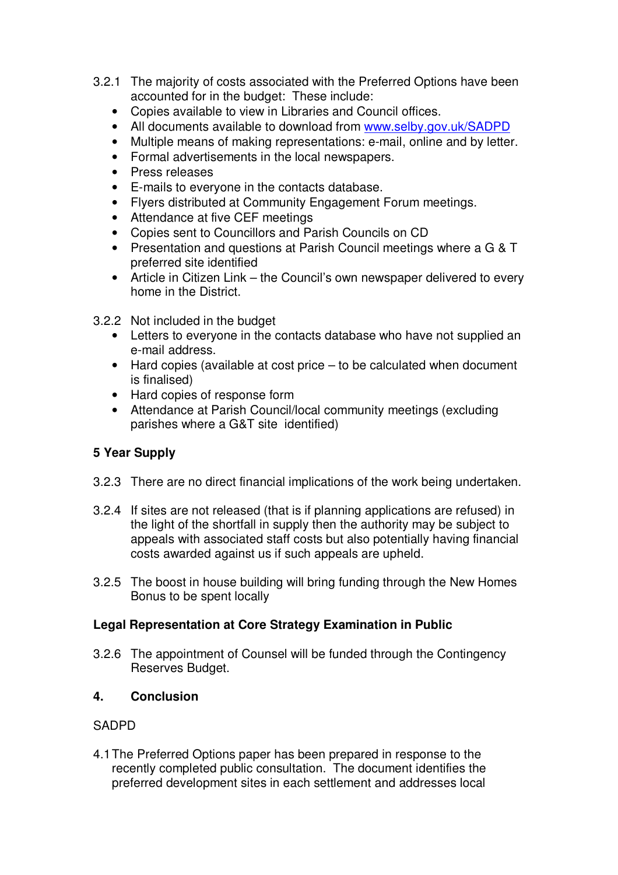- 3.2.1 The majority of costs associated with the Preferred Options have been accounted for in the budget: These include:
	- Copies available to view in Libraries and Council offices.
	- All documents available to download from www.selby.gov.uk/SADPD
	- Multiple means of making representations: e-mail, online and by letter.
	- Formal advertisements in the local newspapers.
	- Press releases
	- E-mails to everyone in the contacts database.
	- Flyers distributed at Community Engagement Forum meetings.
	- Attendance at five CEF meetings
	- Copies sent to Councillors and Parish Councils on CD
	- Presentation and questions at Parish Council meetings where a G & T preferred site identified
	- Article in Citizen Link the Council's own newspaper delivered to every home in the District.
- 3.2.2 Not included in the budget
	- Letters to everyone in the contacts database who have not supplied an e-mail address.
	- Hard copies (available at cost price to be calculated when document is finalised)
	- Hard copies of response form
	- Attendance at Parish Council/local community meetings (excluding parishes where a G&T site identified)

# **5 Year Supply**

- 3.2.3 There are no direct financial implications of the work being undertaken.
- 3.2.4 If sites are not released (that is if planning applications are refused) in the light of the shortfall in supply then the authority may be subject to appeals with associated staff costs but also potentially having financial costs awarded against us if such appeals are upheld.
- 3.2.5 The boost in house building will bring funding through the New Homes Bonus to be spent locally

# **Legal Representation at Core Strategy Examination in Public**

3.2.6 The appointment of Counsel will be funded through the Contingency Reserves Budget.

# **4. Conclusion**

# SADPD

4.1The Preferred Options paper has been prepared in response to the recently completed public consultation. The document identifies the preferred development sites in each settlement and addresses local